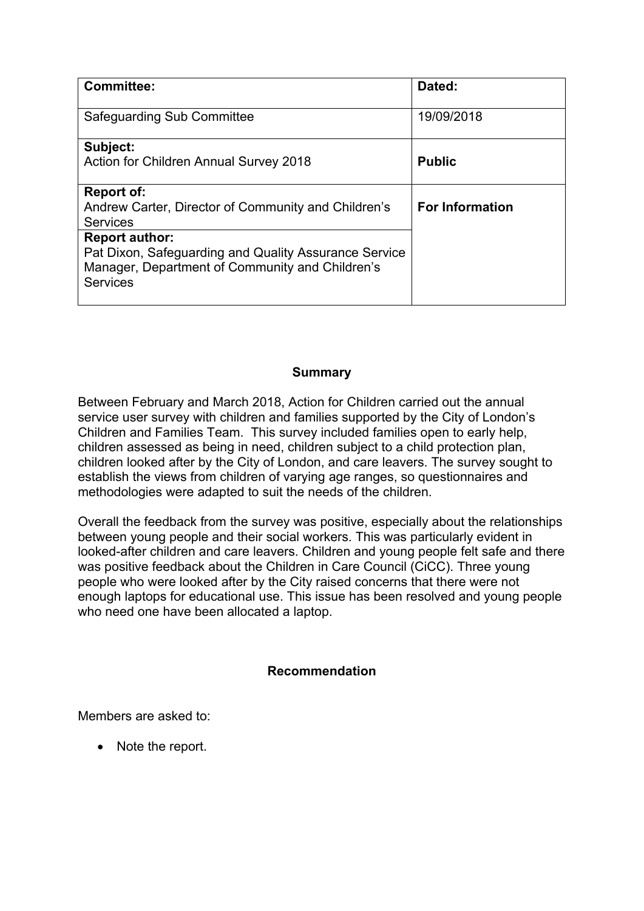| <b>Committee:</b>                                                                                                                                    | Dated:                 |
|------------------------------------------------------------------------------------------------------------------------------------------------------|------------------------|
| <b>Safeguarding Sub Committee</b>                                                                                                                    | 19/09/2018             |
| Subject:<br>Action for Children Annual Survey 2018                                                                                                   | <b>Public</b>          |
| <b>Report of:</b><br>Andrew Carter, Director of Community and Children's<br><b>Services</b>                                                          | <b>For Information</b> |
| <b>Report author:</b><br>Pat Dixon, Safeguarding and Quality Assurance Service<br>Manager, Department of Community and Children's<br><b>Services</b> |                        |

#### **Summary**

Between February and March 2018, Action for Children carried out the annual service user survey with children and families supported by the City of London's Children and Families Team. This survey included families open to early help, children assessed as being in need, children subject to a child protection plan, children looked after by the City of London, and care leavers. The survey sought to establish the views from children of varying age ranges, so questionnaires and methodologies were adapted to suit the needs of the children.

Overall the feedback from the survey was positive, especially about the relationships between young people and their social workers. This was particularly evident in looked-after children and care leavers. Children and young people felt safe and there was positive feedback about the Children in Care Council (CiCC). Three young people who were looked after by the City raised concerns that there were not enough laptops for educational use. This issue has been resolved and young people who need one have been allocated a laptop.

#### **Recommendation**

Members are asked to:

• Note the report.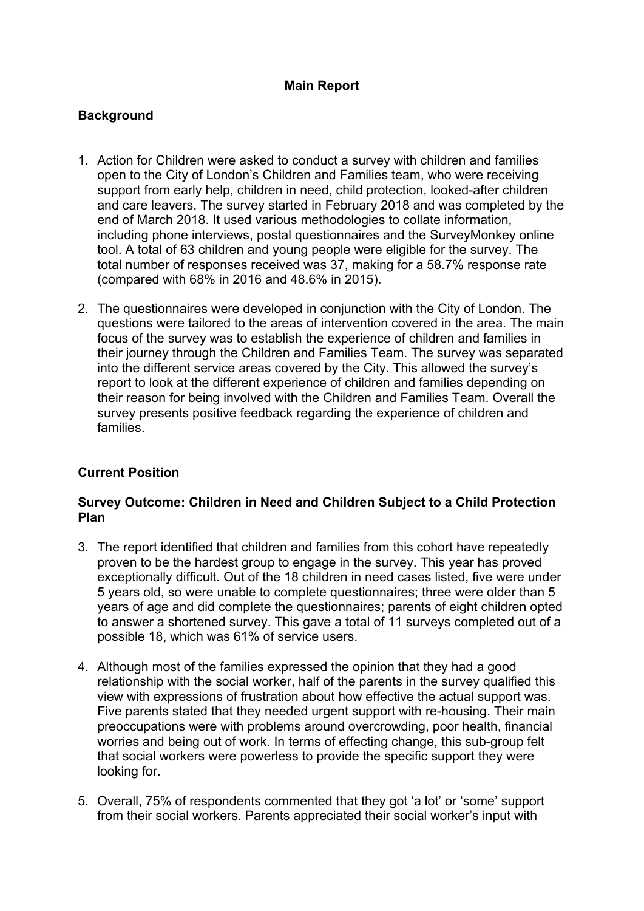## **Main Report**

## **Background**

- 1. Action for Children were asked to conduct a survey with children and families open to the City of London's Children and Families team, who were receiving support from early help, children in need, child protection, looked-after children and care leavers. The survey started in February 2018 and was completed by the end of March 2018. It used various methodologies to collate information, including phone interviews, postal questionnaires and the SurveyMonkey online tool. A total of 63 children and young people were eligible for the survey. The total number of responses received was 37, making for a 58.7% response rate (compared with 68% in 2016 and 48.6% in 2015).
- 2. The questionnaires were developed in conjunction with the City of London. The questions were tailored to the areas of intervention covered in the area. The main focus of the survey was to establish the experience of children and families in their journey through the Children and Families Team. The survey was separated into the different service areas covered by the City. This allowed the survey's report to look at the different experience of children and families depending on their reason for being involved with the Children and Families Team. Overall the survey presents positive feedback regarding the experience of children and families.

## **Current Position**

#### **Survey Outcome: Children in Need and Children Subject to a Child Protection Plan**

- 3. The report identified that children and families from this cohort have repeatedly proven to be the hardest group to engage in the survey. This year has proved exceptionally difficult. Out of the 18 children in need cases listed, five were under 5 years old, so were unable to complete questionnaires; three were older than 5 years of age and did complete the questionnaires; parents of eight children opted to answer a shortened survey. This gave a total of 11 surveys completed out of a possible 18, which was 61% of service users.
- 4. Although most of the families expressed the opinion that they had a good relationship with the social worker, half of the parents in the survey qualified this view with expressions of frustration about how effective the actual support was. Five parents stated that they needed urgent support with re-housing. Their main preoccupations were with problems around overcrowding, poor health, financial worries and being out of work. In terms of effecting change, this sub-group felt that social workers were powerless to provide the specific support they were looking for.
- 5. Overall, 75% of respondents commented that they got 'a lot' or 'some' support from their social workers. Parents appreciated their social worker's input with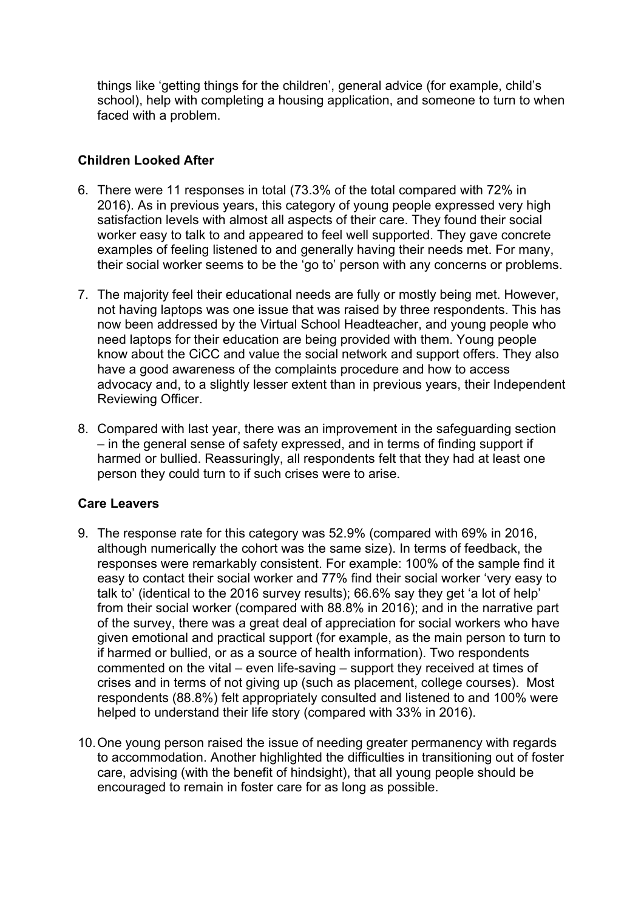things like 'getting things for the children', general advice (for example, child's school), help with completing a housing application, and someone to turn to when faced with a problem.

## **Children Looked After**

- 6. There were 11 responses in total (73.3% of the total compared with 72% in 2016). As in previous years, this category of young people expressed very high satisfaction levels with almost all aspects of their care. They found their social worker easy to talk to and appeared to feel well supported. They gave concrete examples of feeling listened to and generally having their needs met. For many, their social worker seems to be the 'go to' person with any concerns or problems.
- 7. The majority feel their educational needs are fully or mostly being met. However, not having laptops was one issue that was raised by three respondents. This has now been addressed by the Virtual School Headteacher, and young people who need laptops for their education are being provided with them. Young people know about the CiCC and value the social network and support offers. They also have a good awareness of the complaints procedure and how to access advocacy and, to a slightly lesser extent than in previous years, their Independent Reviewing Officer.
- 8. Compared with last year, there was an improvement in the safeguarding section – in the general sense of safety expressed, and in terms of finding support if harmed or bullied. Reassuringly, all respondents felt that they had at least one person they could turn to if such crises were to arise.

## **Care Leavers**

- 9. The response rate for this category was 52.9% (compared with 69% in 2016, although numerically the cohort was the same size). In terms of feedback, the responses were remarkably consistent. For example: 100% of the sample find it easy to contact their social worker and 77% find their social worker 'very easy to talk to' (identical to the 2016 survey results); 66.6% say they get 'a lot of help' from their social worker (compared with 88.8% in 2016); and in the narrative part of the survey, there was a great deal of appreciation for social workers who have given emotional and practical support (for example, as the main person to turn to if harmed or bullied, or as a source of health information). Two respondents commented on the vital – even life-saving – support they received at times of crises and in terms of not giving up (such as placement, college courses). Most respondents (88.8%) felt appropriately consulted and listened to and 100% were helped to understand their life story (compared with 33% in 2016).
- 10.One young person raised the issue of needing greater permanency with regards to accommodation. Another highlighted the difficulties in transitioning out of foster care, advising (with the benefit of hindsight), that all young people should be encouraged to remain in foster care for as long as possible.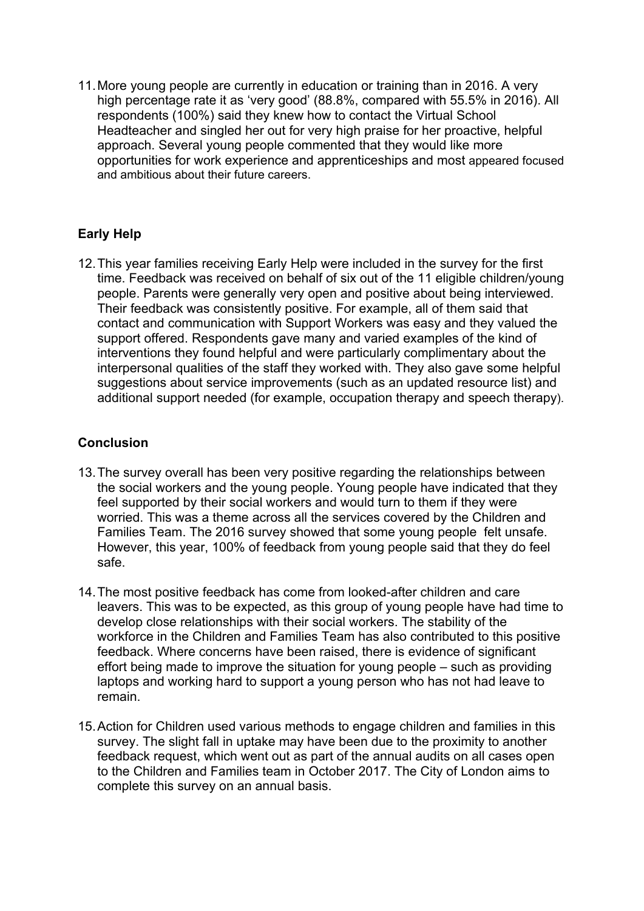11.More young people are currently in education or training than in 2016. A very high percentage rate it as 'very good' (88.8%, compared with 55.5% in 2016). All respondents (100%) said they knew how to contact the Virtual School Headteacher and singled her out for very high praise for her proactive, helpful approach. Several young people commented that they would like more opportunities for work experience and apprenticeships and most appeared focused and ambitious about their future careers.

## **Early Help**

12.This year families receiving Early Help were included in the survey for the first time. Feedback was received on behalf of six out of the 11 eligible children/young people. Parents were generally very open and positive about being interviewed. Their feedback was consistently positive. For example, all of them said that contact and communication with Support Workers was easy and they valued the support offered. Respondents gave many and varied examples of the kind of interventions they found helpful and were particularly complimentary about the interpersonal qualities of the staff they worked with. They also gave some helpful suggestions about service improvements (such as an updated resource list) and additional support needed (for example, occupation therapy and speech therapy).

## **Conclusion**

- 13.The survey overall has been very positive regarding the relationships between the social workers and the young people. Young people have indicated that they feel supported by their social workers and would turn to them if they were worried. This was a theme across all the services covered by the Children and Families Team. The 2016 survey showed that some young people felt unsafe. However, this year, 100% of feedback from young people said that they do feel safe.
- 14.The most positive feedback has come from looked-after children and care leavers. This was to be expected, as this group of young people have had time to develop close relationships with their social workers. The stability of the workforce in the Children and Families Team has also contributed to this positive feedback. Where concerns have been raised, there is evidence of significant effort being made to improve the situation for young people – such as providing laptops and working hard to support a young person who has not had leave to remain.
- 15.Action for Children used various methods to engage children and families in this survey. The slight fall in uptake may have been due to the proximity to another feedback request, which went out as part of the annual audits on all cases open to the Children and Families team in October 2017. The City of London aims to complete this survey on an annual basis.